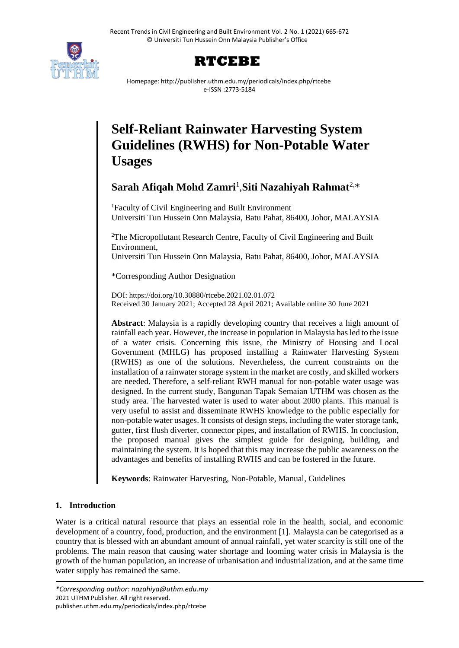



Homepage: http://publisher.uthm.edu.my/periodicals/index.php/rtcebe e-ISSN :2773-5184

# **Self-Reliant Rainwater Harvesting System Guidelines (RWHS) for Non-Potable Water Usages**

# **Sarah Afiqah Mohd Zamri**<sup>1</sup> ,**Siti Nazahiyah Rahmat**2,\*

<sup>1</sup>Faculty of Civil Engineering and Built Environment Universiti Tun Hussein Onn Malaysia, Batu Pahat, 86400, Johor, MALAYSIA

<sup>2</sup>[The Micropollutant Research Centre,](https://mprc.uthm.edu.my/) Faculty of Civil Engineering and Built Environment,

Universiti Tun Hussein Onn Malaysia, Batu Pahat, 86400, Johor, MALAYSIA

\*Corresponding Author Designation

DOI: https://doi.org/10.30880/rtcebe.2021.02.01.072 Received 30 January 2021; Accepted 28 April 2021; Available online 30 June 2021

**Abstract**: Malaysia is a rapidly developing country that receives a high amount of rainfall each year. However, the increase in population in Malaysia has led to the issue of a water crisis. Concerning this issue, the Ministry of Housing and Local Government (MHLG) has proposed installing a Rainwater Harvesting System (RWHS) as one of the solutions. Nevertheless, the current constraints on the installation of a rainwater storage system in the market are costly, and skilled workers are needed. Therefore, a self-reliant RWH manual for non-potable water usage was designed. In the current study, Bangunan Tapak Semaian UTHM was chosen as the study area. The harvested water is used to water about 2000 plants. This manual is very useful to assist and disseminate RWHS knowledge to the public especially for non-potable water usages. It consists of design steps, including the water storage tank, gutter, first flush diverter, connector pipes, and installation of RWHS. In conclusion, the proposed manual gives the simplest guide for designing, building, and maintaining the system. It is hoped that this may increase the public awareness on the advantages and benefits of installing RWHS and can be fostered in the future.

**Keywords**: Rainwater Harvesting, Non-Potable, Manual, Guidelines

# **1. Introduction**

Water is a critical natural resource that plays an essential role in the health, social, and economic development of a country, food, production, and the environment [1]. Malaysia can be categorised as a country that is blessed with an abundant amount of annual rainfall, yet water scarcity is still one of the problems. The main reason that causing water shortage and looming water crisis in Malaysia is the growth of the human population, an increase of urbanisation and industrialization, and at the same time water supply has remained the same.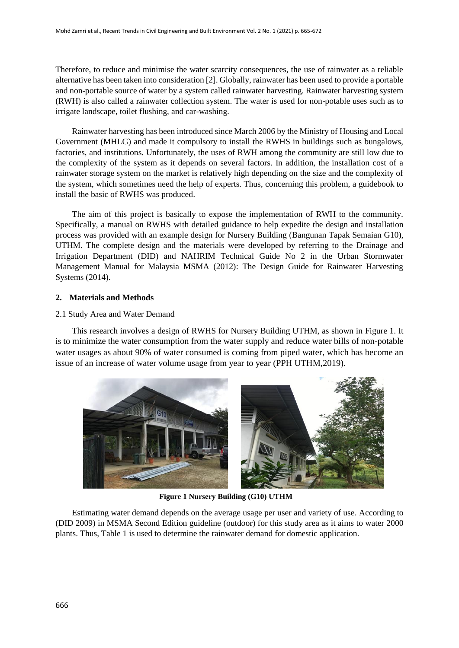Therefore, to reduce and minimise the water scarcity consequences, the use of rainwater as a reliable alternative has been taken into consideration [2]. Globally, rainwater has been used to provide a portable and non-portable source of water by a system called rainwater harvesting. Rainwater harvesting system (RWH) is also called a rainwater collection system. The water is used for non-potable uses such as to irrigate landscape, toilet flushing, and car-washing.

Rainwater harvesting has been introduced since March 2006 by the Ministry of Housing and Local Government (MHLG) and made it compulsory to install the RWHS in buildings such as bungalows, factories, and institutions. Unfortunately, the uses of RWH among the community are still low due to the complexity of the system as it depends on several factors. In addition, the installation cost of a rainwater storage system on the market is relatively high depending on the size and the complexity of the system, which sometimes need the help of experts. Thus, concerning this problem, a guidebook to install the basic of RWHS was produced.

The aim of this project is basically to expose the implementation of RWH to the community. Specifically, a manual on RWHS with detailed guidance to help expedite the design and installation process was provided with an example design for Nursery Building (Bangunan Tapak Semaian G10), UTHM. The complete design and the materials were developed by referring to the Drainage and Irrigation Department (DID) and NAHRIM Technical Guide No 2 in the Urban Stormwater Management Manual for Malaysia MSMA (2012): The Design Guide for Rainwater Harvesting Systems (2014).

# **2. Materials and Methods**

#### 2.1 Study Area and Water Demand

This research involves a design of RWHS for Nursery Building UTHM, as shown in Figure 1. It is to minimize the water consumption from the water supply and reduce water bills of non-potable water usages as about 90% of water consumed is coming from piped water, which has become an issue of an increase of water volume usage from year to year (PPH UTHM,2019).



**Figure 1 Nursery Building (G10) UTHM**

Estimating water demand depends on the average usage per user and variety of use. According to (DID 2009) in MSMA Second Edition guideline (outdoor) for this study area as it aims to water 2000 plants. Thus, Table 1 is used to determine the rainwater demand for domestic application.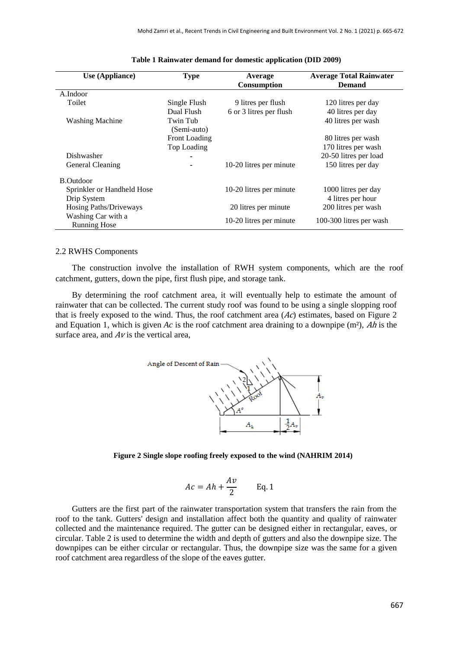| Use (Appliance)               | <b>Type</b>             | Average                 | <b>Average Total Rainwater</b> |
|-------------------------------|-------------------------|-------------------------|--------------------------------|
|                               |                         | <b>Consumption</b>      | <b>Demand</b>                  |
| A.Indoor                      |                         |                         |                                |
| Toilet                        | Single Flush            | 9 litres per flush      | 120 litres per day             |
|                               | Dual Flush              | 6 or 3 litres per flush | 40 litres per day              |
| <b>Washing Machine</b>        | Twin Tub<br>(Semi-auto) |                         | 40 litres per wash             |
|                               | <b>Front Loading</b>    |                         | 80 litres per wash             |
|                               | Top Loading             |                         | 170 litres per wash            |
| Dishwasher                    |                         |                         | 20-50 litres per load          |
| General Cleaning              |                         | 10-20 litres per minute | 150 litres per day             |
| <b>B.Outdoor</b>              |                         |                         |                                |
| Sprinkler or Handheld Hose    |                         | 10-20 litres per minute | 1000 litres per day            |
| Drip System                   |                         |                         | 4 litres per hour              |
| <b>Hosing Paths/Driveways</b> |                         | 20 litres per minute    | 200 litres per wash            |
| Washing Car with a            |                         | 10-20 litres per minute | 100-300 litres per wash        |
| <b>Running Hose</b>           |                         |                         |                                |

#### **Table 1 Rainwater demand for domestic application (DID 2009)**

#### 2.2 RWHS Components

The construction involve the installation of RWH system components, which are the roof catchment, gutters, down the pipe, first flush pipe, and storage tank.

By determining the roof catchment area, it will eventually help to estimate the amount of rainwater that can be collected. The current study roof was found to be using a single slopping roof that is freely exposed to the wind. Thus, the roof catchment area  $(Ac)$  estimates, based on Figure 2 and Equation 1, which is given *Ac* is the roof catchment area draining to a downpipe (m²), Ah is the surface area, and  $Av$  is the vertical area.



**Figure 2 Single slope roofing freely exposed to the wind (NAHRIM 2014)**

$$
Ac = Ah + \frac{Av}{2} \qquad \text{Eq. 1}
$$

Gutters are the first part of the rainwater transportation system that transfers the rain from the roof to the tank. Gutters' design and installation affect both the quantity and quality of rainwater collected and the maintenance required. The gutter can be designed either in rectangular, eaves, or circular. Table 2 is used to determine the width and depth of gutters and also the downpipe size. The downpipes can be either circular or rectangular. Thus, the downpipe size was the same for a given roof catchment area regardless of the slope of the eaves gutter.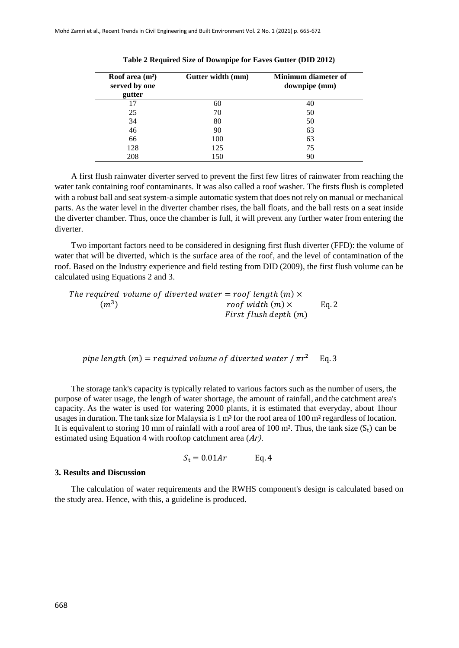| Roof area $(m^2)$<br>served by one<br>gutter | Gutter width (mm) | Minimum diameter of<br>downpipe (mm) |
|----------------------------------------------|-------------------|--------------------------------------|
| 17                                           | 60                | 40                                   |
| 25                                           | 70                | 50                                   |
| 34                                           | 80                | 50                                   |
| 46                                           | 90                | 63                                   |
| 66                                           | 100               | 63                                   |
| 128                                          | 125               | 75                                   |
| 208                                          | 150               | 90                                   |

**Table 2 Required Size of Downpipe for Eaves Gutter (DID 2012)**

A first flush rainwater diverter served to prevent the first few litres of rainwater from reaching the water tank containing roof contaminants. It was also called a roof washer. The firsts flush is completed with a robust ball and seat system-a simple automatic system that does not rely on manual or mechanical parts. As the water level in the diverter chamber rises, the ball floats, and the ball rests on a seat inside the diverter chamber. Thus, once the chamber is full, it will prevent any further water from entering the diverter.

Two important factors need to be considered in designing first flush diverter (FFD): the volume of water that will be diverted, which is the surface area of the roof, and the level of contamination of the roof. Based on the Industry experience and field testing from DID (2009), the first flush volume can be calculated using Equations 2 and 3.

The required volume of diverted water = roof length  $(m) \times$  $(m^3)$ roof width  $(m) \times$  Eq. 2 First flush depth  $(m)$ 

pipe length  $(m)$  = required volume of diverted water  $\pi r^2$  Eq. 3

The storage tank's capacity is typically related to various factors such as the number of users, the purpose of water usage, the length of water shortage, the amount of rainfall, and the catchment area's capacity. As the water is used for watering 2000 plants, it is estimated that everyday, about 1hour usages in duration. The tank size for Malaysia is 1 m<sup>3</sup> for the roof area of 100 m<sup>2</sup> regardless of location. It is equivalent to storing 10 mm of rainfall with a roof area of 100 m<sup>2</sup>. Thus, the tank size  $(S_t)$  can be estimated using Equation 4 with rooftop catchment area (Ar).

$$
S_{t} = 0.01Ar \qquad \text{Eq. 4}
$$

#### **3. Results and Discussion**

The calculation of water requirements and the RWHS component's design is calculated based on the study area. Hence, with this, a guideline is produced.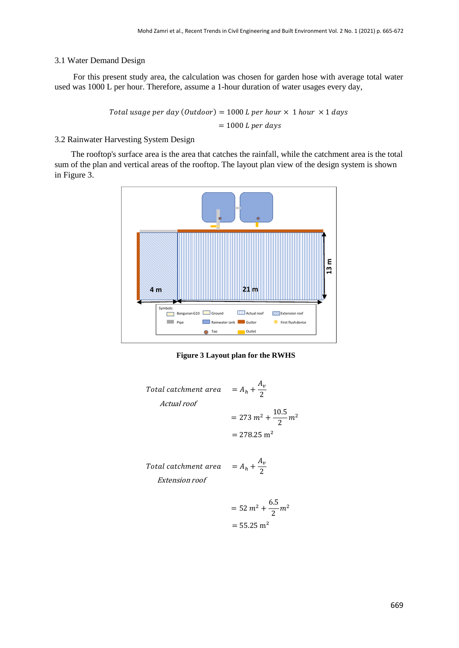#### 3.1 Water Demand Design

For this present study area, the calculation was chosen for garden hose with average total water used was 1000 L per hour. Therefore, assume a 1-hour duration of water usages every day,

> Total usage per day (Outdoor) = 1000 L per hour  $\times$  1 hour  $\times$  1 days  $= 1000 L per days$

3.2 Rainwater Harvesting System Design

The rooftop's surface area is the area that catches the rainfall, while the catchment area is the total sum of the plan and vertical areas of the rooftop. The layout plan view of the design system is shown in Figure 3.



**Figure 3 Layout plan for the RWHS**

Total catchment area  $A_v$ 2  $= 273 m^2 + \frac{10.5}{2}$  $\frac{3.5}{2}m^2$  $= 278.25$  m<sup>2</sup> Total catchment area  $A_v$ 2 Actual roof Extension roof

$$
= 52 m2 + \frac{6.5}{2} m2
$$

$$
= 55.25 m2
$$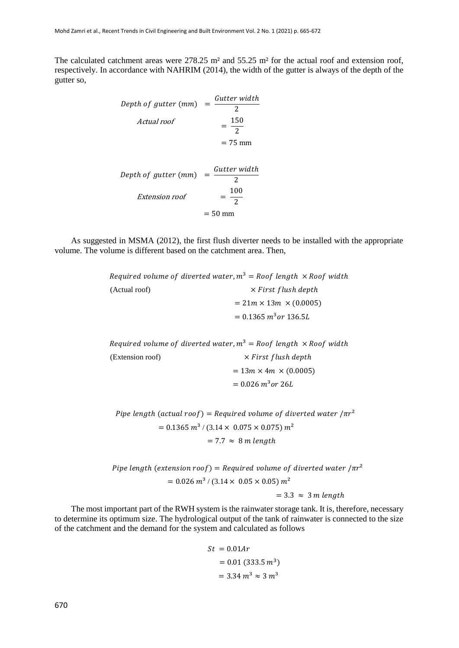The calculated catchment areas were 278.25 m<sup>2</sup> and 55.25 m<sup>2</sup> for the actual roof and extension roof, respectively. In accordance with NAHRIM (2014), the width of the gutter is always of the depth of the gutter so,

Depth of gutter (mm) 
$$
= \frac{Gutter width}{2}
$$
  
\nActual roof 
$$
= \frac{150}{2}
$$
  
\n= 75 mm  
\nDepth of gutter (mm) 
$$
= \frac{Gutter width}{2}
$$
  
\nExtension roof 
$$
= \frac{100}{2}
$$
  
\n= 50 mm

As suggested in MSMA (2012), the first flush diverter needs to be installed with the appropriate volume. The volume is different based on the catchment area. Then,

|               | Required volume of diverted water, $m^3 = R$ oof length $\times$ Roof width |  |
|---------------|-----------------------------------------------------------------------------|--|
| (Actual roof) | $\times$ First flush depth                                                  |  |
|               | $= 21m \times 13m \times (0.0005)$                                          |  |
|               | $= 0.1365 m^3$ or 136.5L                                                    |  |

|                  | Required volume of diverted water, $m^3$ = Roof length $\times$ Roof width |  |
|------------------|----------------------------------------------------------------------------|--|
| (Extension roof) | $\times$ First flush depth                                                 |  |
|                  | $= 13m \times 4m \times (0.0005)$                                          |  |
|                  | $= 0.026 m^3$ or 26L                                                       |  |

Pipe length (actual roof) = Required volume of diverted water  $/\pi r^2$  $= 0.1365 \frac{m^3}{(3.14 \times 0.075 \times 0.075)} \frac{m^2}{m^2}$  $= 7.7 \approx 8 m length$ 

Pipe length (extension roof) = Required volume of diverted water  $/\pi r^2$  $= 0.026$   $m^3$  / (3.14  $\times$  0.05  $\times$  0.05)  $m^2$  $= 3.3 \approx 3$  m length

The most important part of the RWH system is the rainwater storage tank. It is, therefore, necessary to determine its optimum size. The hydrological output of the tank of rainwater is connected to the size of the catchment and the demand for the system and calculated as follows

$$
St = 0.01Ar
$$

$$
= 0.01 (333.5 m3)
$$

$$
= 3.34 m3 \approx 3 m3
$$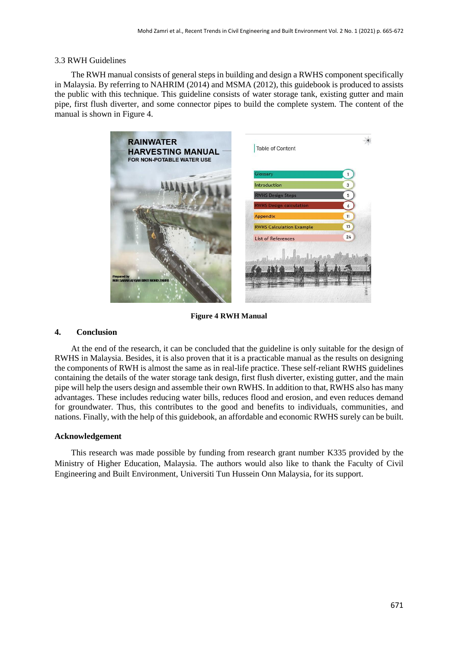#### 3.3 RWH Guidelines

The RWH manual consists of general steps in building and design a RWHS component specifically in Malaysia. By referring to NAHRIM (2014) and MSMA (2012), this guidebook is produced to assists the public with this technique. This guideline consists of water storage tank, existing gutter and main pipe, first flush diverter, and some connector pipes to build the complete system. The content of the manual is shown in Figure 4.



**Figure 4 RWH Manual** 

# **4. Conclusion**

At the end of the research, it can be concluded that the guideline is only suitable for the design of RWHS in Malaysia. Besides, it is also proven that it is a practicable manual as the results on designing the components of RWH is almost the same as in real-life practice. These self-reliant RWHS guidelines containing the details of the water storage tank design, first flush diverter, existing gutter, and the main pipe will help the users design and assemble their own RWHS. In addition to that, RWHS also has many advantages. These includes reducing water bills, reduces flood and erosion, and even reduces demand for groundwater. Thus, this contributes to the good and benefits to individuals, communities, and nations. Finally, with the help of this guidebook, an affordable and economic RWHS surely can be built.

# **Acknowledgement**

This research was made possible by funding from research grant number K335 provided by the Ministry of Higher Education, Malaysia. The authors would also like to thank the Faculty of Civil Engineering and Built Environment, Universiti Tun Hussein Onn Malaysia, for its support.